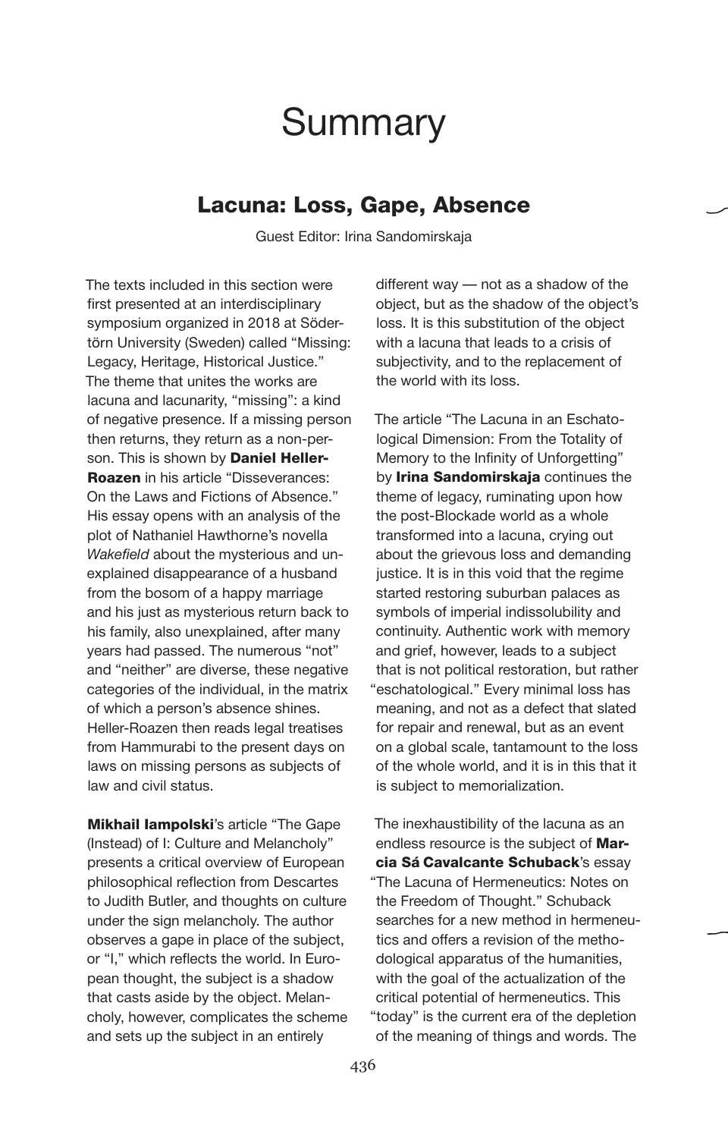# **Summary**

#### Lacuna: Loss, Gape, Absence

Guest Editor: Irina Sandomirskaja

The texts included in this section were first presented at an interdisciplinary symposium organized in 2018 at Södertörn University (Sweden) called "Missing: Legacy, Heritage, Historical Justice." The theme that unites the works are lacuna and lacunarity, "missing": a kind of negative presence. If a missing person then returns, they return as a non-person. This is shown by **Daniel Heller-Roazen** in his article "Disseverances: On the Laws and Fictions of Absence." His essay opens with an analysis of the plot of Nathaniel Hawthorne's novella *Wakefield* about the mysterious and unexplained disappearance of a husband from the bosom of a happy marriage and his just as mysterious return back to his family, also unexplained, after many years had passed. The numerous "not" and "neither" are diverse, these negative categories of the individual, in the matrix of which a person's absence shines. Heller-Roazen then reads legal treatises from Hammurabi to the present days on laws on missing persons as subjects of law and civil status.

**Mikhail lampolski's article "The Gape** (Instead) of I: Culture and Melancholy" presents a critical overview of European philosophical reflection from Descartes to Judith Butler, and thoughts on culture under the sign melancholy. The author observes a gape in place of the subject, or "I," which reflects the world. In European thought, the subject is a shadow that casts aside by the object. Melancholy, however, complicates the scheme and sets up the subject in an entirely

different way — not as a shadow of the object, but as the shadow of the object's loss. It is this substitution of the object with a lacuna that leads to a crisis of subjectivity, and to the replacement of the world with its loss.

The article "The Lacuna in an Eschatological Dimension: From the Totality of Memory to the Infinity of Unforgetting" by Irina Sandomirskaja continues the theme of legacy, ruminating upon how the post-Blockade world as a whole transformed into a lacuna, crying out about the grievous loss and demanding justice. It is in this void that the regime started restoring suburban palaces as symbols of imperial indissolubility and continuity. Authentic work with memory and grief, however, leads to a subject that is not political restoration, but rather "eschatological." Every minimal loss has meaning, and not as a defect that slated for repair and renewal, but as an event on a global scale, tantamount to the loss of the whole world, and it is in this that it is subject to memorialization.

The inexhaustibility of the lacuna as an endless resource is the subject of Marcia Sá Cavalcante Schuback's essay "The Lacuna of Hermeneutics: Notes on the Freedom of Thought." Schuback searches for a new method in hermeneutics and offers a revision of the methodological apparatus of the humanities, with the goal of the actualization of the critical potential of hermeneutics. This "today" is the current era of the depletion of the meaning of things and words. The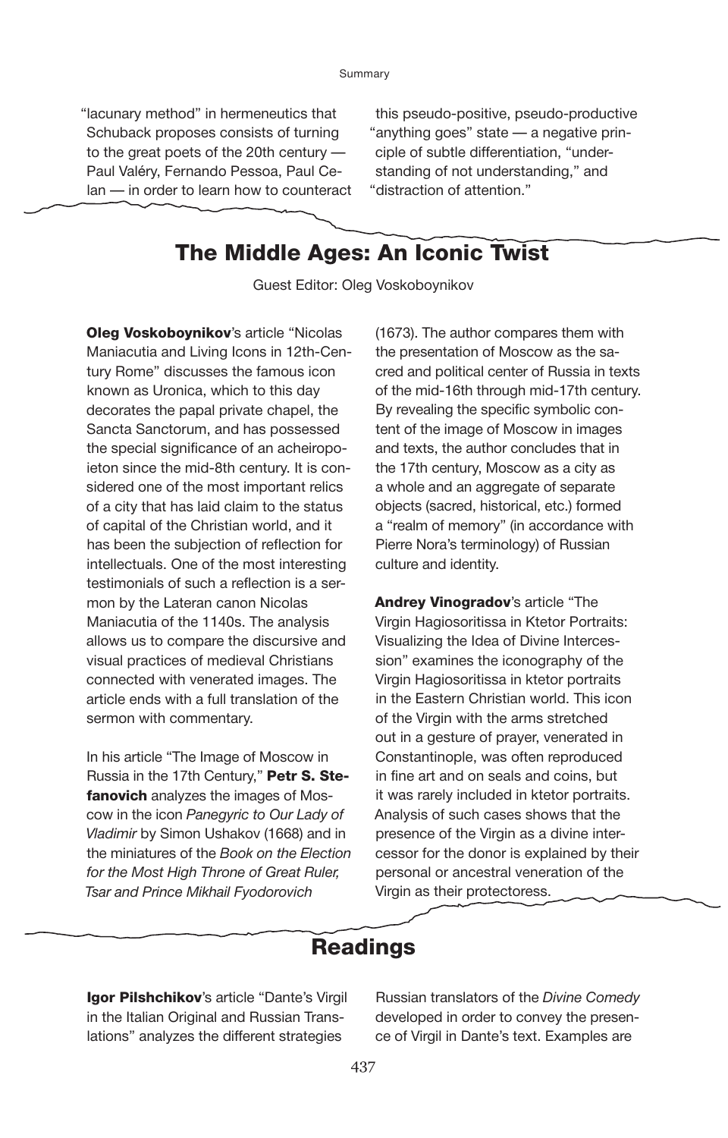"lacunary method" in hermeneutics that Schuback proposes consists of turning to the great poets of the 20th century — Paul Valéry, Fernando Pessoa, Paul Celan — in order to learn how to counteract

this pseudo-positive, pseudo-productive "anything goes" state — a negative principle of subtle differentiation, "understanding of not understanding," and "distraction of attention."

### The Middle Ages: An Iconic Twist

Guest Editor: Oleg Voskoboynikov

**Oleg Voskoboynikov's article "Nicolas** Maniacutia and Living Icons in 12th-Century Rome" discusses the famous icon known as Uronica, which to this day decorates the papal private chapel, the Sancta Sanctorum, and has possessed the special significance of an acheiropoieton since the mid-8th century. It is considered one of the most important relics of a city that has laid claim to the status of capital of the Christian world, and it has been the subjection of reflection for intellectuals. One of the most interesting testimonials of such a reflection is a sermon by the Lateran canon Nicolas Maniacutia of the 1140s. The analysis allows us to compare the discursive and visual practices of medieval Christians connected with venerated images. The article ends with a full translation of the sermon with commentary.

In his article "The Image of Moscow in Russia in the 17th Century," Petr S. Stefanovich analyzes the images of Moscow in the icon *Panegyric to Our Lady of Vladimir* by Simon Ushakov (1668) and in the miniatures of the *Book on the Election for the Most High Throne of Great Ruler, Tsar and Prince Mikhail Fyodorovich*

(1673). The author compares them with the presentation of Moscow as the sacred and political center of Russia in texts of the mid-16th through mid-17th century. By revealing the specific symbolic content of the image of Moscow in images and texts, the author concludes that in the 17th century, Moscow as a city as a whole and an aggregate of separate objects (sacred, historical, etc.) formed a "realm of memory" (in accordance with Pierre Nora's terminology) of Russian culture and identity.

Andrey Vinogradov's article "The Virgin Hagiosoritissa in Ktetor Portraits: Visualizing the Idea of Divine Intercession" examines the iconography of the Virgin Hagiosoritissa in ktetor portraits in the Eastern Christian world. This icon of the Virgin with the arms stretched out in a gesture of prayer, venerated in Constantinople, was often reproduced in fine art and on seals and coins, but it was rarely included in ktetor portraits. Analysis of such cases shows that the presence of the Virgin as a divine intercessor for the donor is explained by their personal or ancestral veneration of the Virgin as their protectoress.

#### Readings

Igor Pilshchikov's article "Dante's Virgil in the Italian Original and Russian Translations" analyzes the different strategies

Russian translators of the *Divine Comedy* developed in order to convey the presence of Virgil in Dante's text. Examples are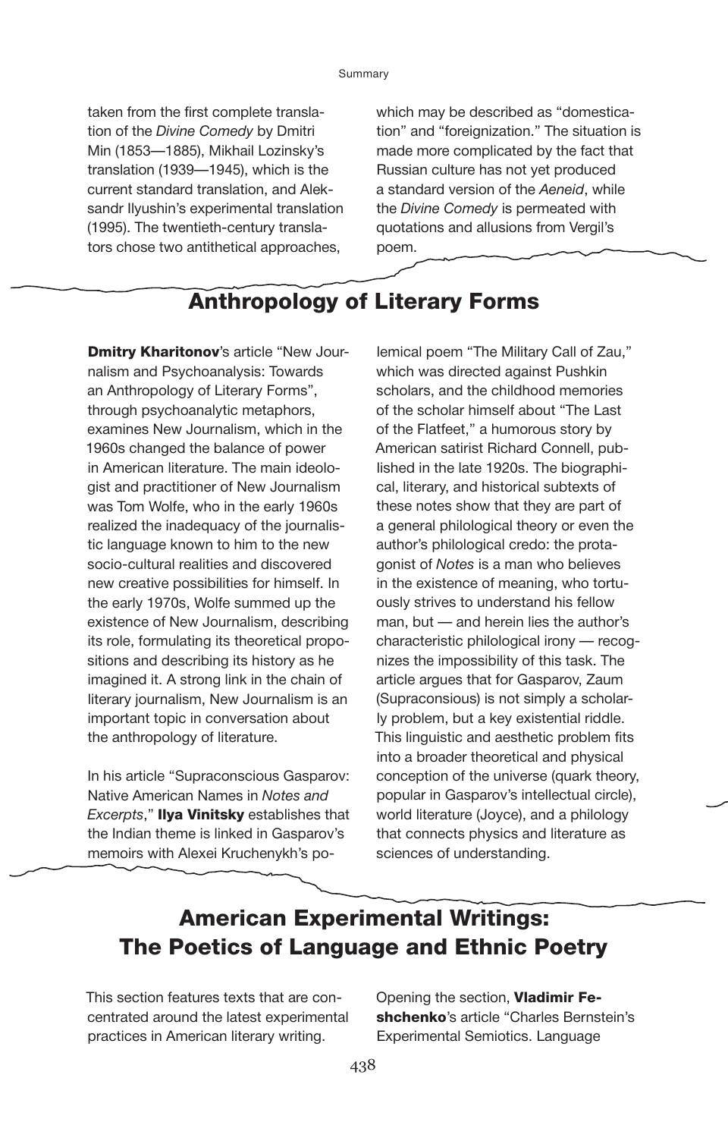taken from the first complete translation of the *Divine Comedy* by Dmitri Min (1853—1885), Mikhail Lozinsky's translation (1939—1945), which is the current standard translation, and Aleksandr Ilyushin's experimental translation (1995). The twentieth-century translators chose two antithetical approaches,

which may be described as "domestication" and "foreignization." The situation is made more complicated by the fact that Russian culture has not yet produced a standard version of the *Aeneid*, while the *Divine Comedy* is permeated with quotations and allusions from Vergil's poem.

## Anthropology of Literary Forms

**Dmitry Kharitonov's article "New Jour**nalism and Psychoanalysis: Towards an Anthropology of Literary Forms", through psychoanalytic metaphors, examines New Journalism, which in the 1960s changed the balance of power in American literature. The main ideologist and practitioner of New Journalism was Tom Wolfe, who in the early 1960s realized the inadequacy of the journalistic language known to him to the new socio-cultural realities and discovered new creative possibilities for himself. In the early 1970s, Wolfe summed up the existence of New Journalism, describing its role, formulating its theoretical propositions and describing its history as he imagined it. A strong link in the chain of literary journalism, New Journalism is an important topic in conversation about the anthropology of literature.

In his article "Supraconscious Gasparov: Native American Names in *Notes and Excerpts*," Ilya Vinitsky establishes that the Indian theme is linked in Gasparov's memoirs with Alexei Kruchenykh's po-

lemical poem "The Military Call of Zau," which was directed against Pushkin scholars, and the childhood memories of the scholar himself about "The Last of the Flatfeet," a humorous story by American satirist Richard Connell, published in the late 1920s. The biographical, literary, and historical subtexts of these notes show that they are part of a general philological theory or even the author's philological credo: the protagonist of *Notes* is a man who believes in the existence of meaning, who tortuously strives to understand his fellow man, but — and herein lies the author's characteristic philological irony — recognizes the impossibility of this task. The article argues that for Gasparov, Zaum (Supraconsious) is not simply a scholarly problem, but a key existential riddle. This linguistic and aesthetic problem fits into a broader theoretical and physical conception of the universe (quark theory, popular in Gasparov's intellectual circle), world literature (Joyce), and a philology that connects physics and literature as sciences of understanding.

# American Experimental Writings: The Poetics of Language and Ethnic Poetry

This section features texts that are concentrated around the latest experimental practices in American literary writing.

Opening the section, Vladimir Feshchenko's article "Charles Bernstein's Experimental Semiotics. Language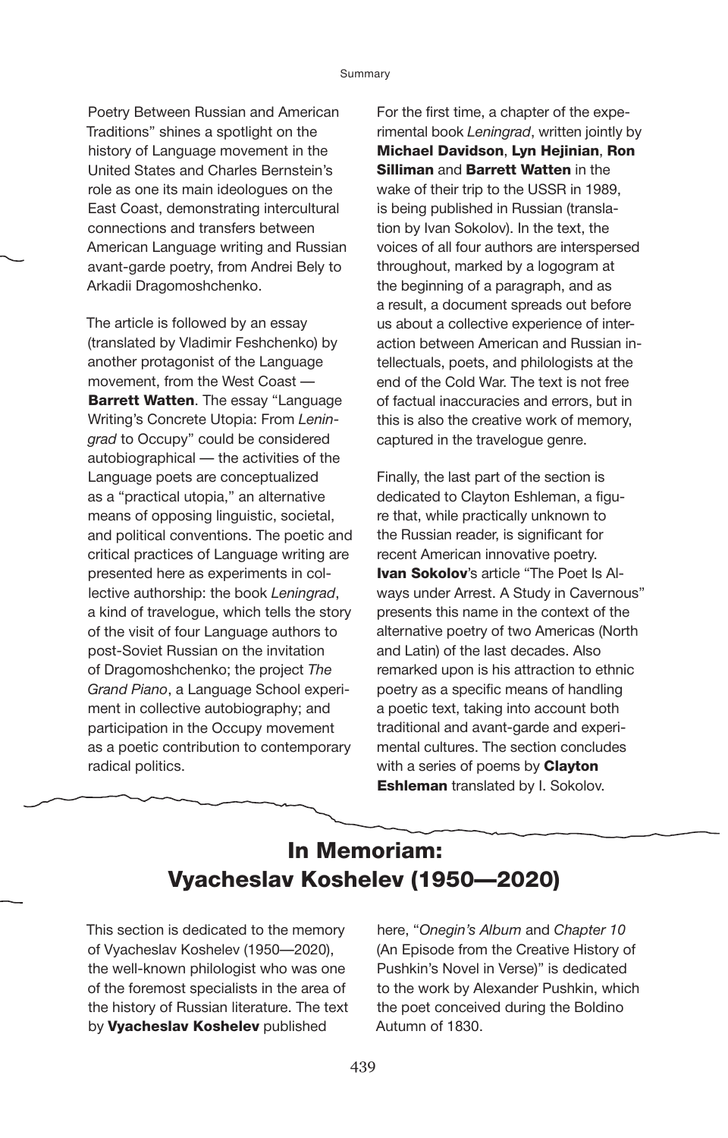Poetry Between Russian and American Traditions" shines a spotlight on the history of Language movement in the United States and Charles Bernstein's role as one its main ideologues on the East Coast, demonstrating intercultural connections and transfers between American Language writing and Russian avant-garde poetry, from Andrei Bely to Arkadii Dragomoshchenko.

The article is followed by an essay (translated by Vladimir Feshchenko) by another protagonist of the Language movement, from the West Coast — **Barrett Watten**. The essay "Language Writing's Concrete Utopia: From *Leningrad* to Occupy" could be considered autobiographical — the activities of the Language poets are conceptualized as a "practical utopia," an alternative means of opposing linguistic, societal, and political conventions. The poetic and critical practices of Language writing are presented here as experiments in collective authorship: the book *Leningrad*, a kind of travelogue, which tells the story of the visit of four Language authors to post-Soviet Russian on the invitation of Dragomoshchenko; the project *The Grand Piano*, a Language School experiment in collective autobiography; and participation in the Occupy movement as a poetic contribution to contemporary radical politics.

For the first time, a chapter of the experimental book *Leningrad*, written jointly by Michael Davidson, Lyn Hejinian, Ron **Silliman and Barrett Watten in the** wake of their trip to the USSR in 1989, is being published in Russian (translation by Ivan Sokolov). In the text, the voices of all four authors are interspersed throughout, marked by a logogram at the beginning of a paragraph, and as a result, a document spreads out before us about a collective experience of interaction between American and Russian intellectuals, poets, and philologists at the end of the Cold War. The text is not free of factual inaccuracies and errors, but in this is also the creative work of memory, captured in the travelogue genre.

Finally, the last part of the section is dedicated to Clayton Eshleman, a figure that, while practically unknown to the Russian reader, is significant for recent American innovative poetry. **Ivan Sokolov's article "The Poet Is Al**ways under Arrest. A Study in Cavernous" presents this name in the context of the alternative poetry of two Americas (North and Latin) of the last decades. Also remarked upon is his attraction to ethnic poetry as a specific means of handling a poetic text, taking into account both traditional and avant-garde and experimental cultures. The section concludes with a series of poems by **Clayton Eshleman** translated by I. Sokolov.

## In Memoriam: Vyacheslav Koshelev (1950—2020)

This section is dedicated to the memory of Vyacheslav Koshelev (1950—2020), the well-known philologist who was one of the foremost specialists in the area of the history of Russian literature. The text by Vyacheslav Koshelev published

here, "*Onegin's Album* and *Chapter 10* (An Episode from the Creative History of Pushkin's Novel in Verse)" is dedicated to the work by Alexander Pushkin, which the poet conceived during the Boldino Autumn of 1830.